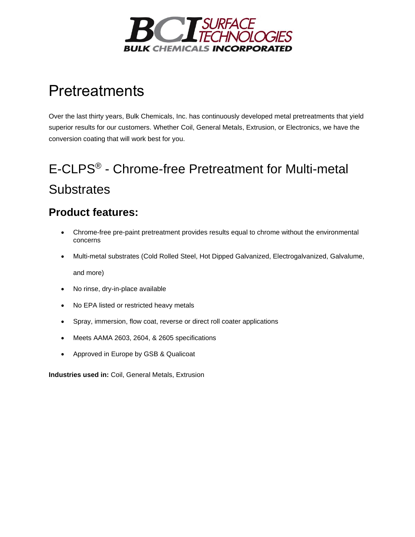

# **Pretreatments**

Over the last thirty years, Bulk Chemicals, Inc. has continuously developed metal pretreatments that yield superior results for our customers. Whether [Coil,](https://www.bulkchemicals.us/metal-pretreatment/coil-coating) [General Metals,](https://www.bulkchemicals.us/metal-pretreatment/general-metals) [Extrusion,](https://www.bulkchemicals.us/metal-pretreatment/extrusion-coating) or Electronics, we have the conversion coating that will work best for you.

# E-CLPS® - Chrome-free Pretreatment for Multi-metal **Substrates**

#### **Product features:**

- Chrome-free pre-paint pretreatment provides results equal to chrome without the environmental concerns
- Multi-metal substrates (Cold Rolled Steel, Hot Dipped Galvanized, Electrogalvanized, Galvalume, and more)
- No rinse, dry-in-place available
- No EPA listed or restricted heavy metals
- Spray, immersion, flow coat, reverse or direct roll coater applications
- Meets AAMA 2603, 2604, & 2605 specifications
- Approved in Europe by GSB & Qualicoat

**Industries used in:** [Coil,](https://www.bulkchemicals.us/metal-pretreatment/coil-coating) [General Metals,](https://www.bulkchemicals.us/metal-pretreatment/general-metals) [Extrusion](https://www.bulkchemicals.us/metal-pretreatment/extrusion-coating)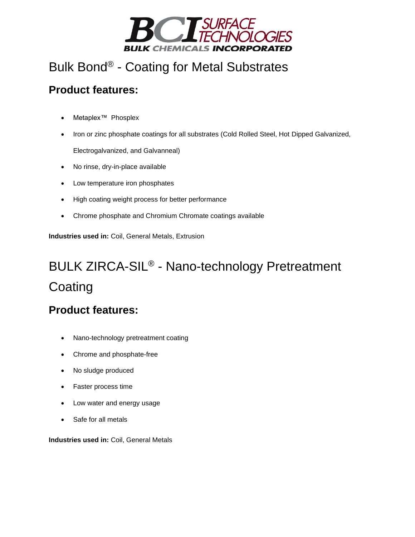

### Bulk Bond® - Coating for Metal Substrates

#### **Product features:**

- Metaplex™ Phosplex
- Iron or zinc phosphate coatings for all substrates (Cold Rolled Steel, Hot Dipped Galvanized, Electrogalvanized, and Galvanneal)
- No rinse, dry-in-place available
- Low temperature iron phosphates
- High coating weight process for better performance
- Chrome phosphate and Chromium Chromate coatings available

**Industries used in:** [Coil,](https://www.bulkchemicals.us/metal-pretreatment/coil-coating) [General Metals,](https://www.bulkchemicals.us/metal-pretreatment/general-metals) [Extrusion](https://www.bulkchemicals.us/metal-pretreatment/extrusion-coating)

# BULK ZIRCA-SIL® - Nano-technology Pretreatment **Coating**

#### **Product features:**

- Nano-technology pretreatment coating
- Chrome and phosphate-free
- No sludge produced
- Faster process time
- Low water and energy usage
- Safe for all metals

**Industries used in:** [Coil,](https://www.bulkchemicals.us/metal-pretreatment/coil-coating) [General Metals](https://www.bulkchemicals.us/metal-pretreatment/general-metals)